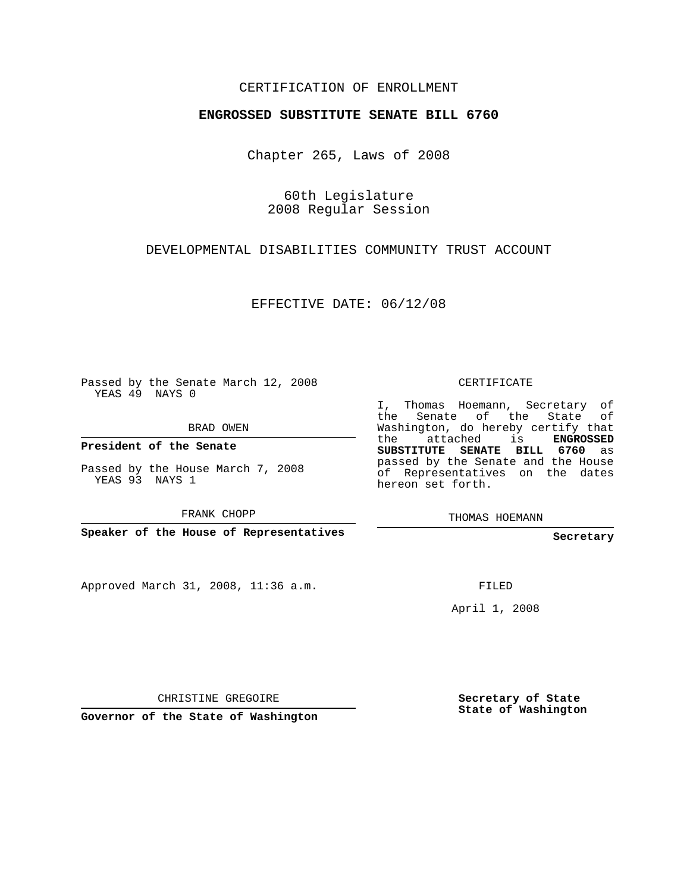## CERTIFICATION OF ENROLLMENT

## **ENGROSSED SUBSTITUTE SENATE BILL 6760**

Chapter 265, Laws of 2008

60th Legislature 2008 Regular Session

## DEVELOPMENTAL DISABILITIES COMMUNITY TRUST ACCOUNT

EFFECTIVE DATE: 06/12/08

Passed by the Senate March 12, 2008 YEAS 49 NAYS 0

BRAD OWEN

**President of the Senate**

Passed by the House March 7, 2008 YEAS 93 NAYS 1

FRANK CHOPP

**Speaker of the House of Representatives**

Approved March 31, 2008, 11:36 a.m.

CERTIFICATE

I, Thomas Hoemann, Secretary of the Senate of the State of Washington, do hereby certify that the attached is **ENGROSSED SUBSTITUTE SENATE BILL 6760** as passed by the Senate and the House of Representatives on the dates hereon set forth.

THOMAS HOEMANN

**Secretary**

FILED

April 1, 2008

CHRISTINE GREGOIRE

**Governor of the State of Washington**

**Secretary of State State of Washington**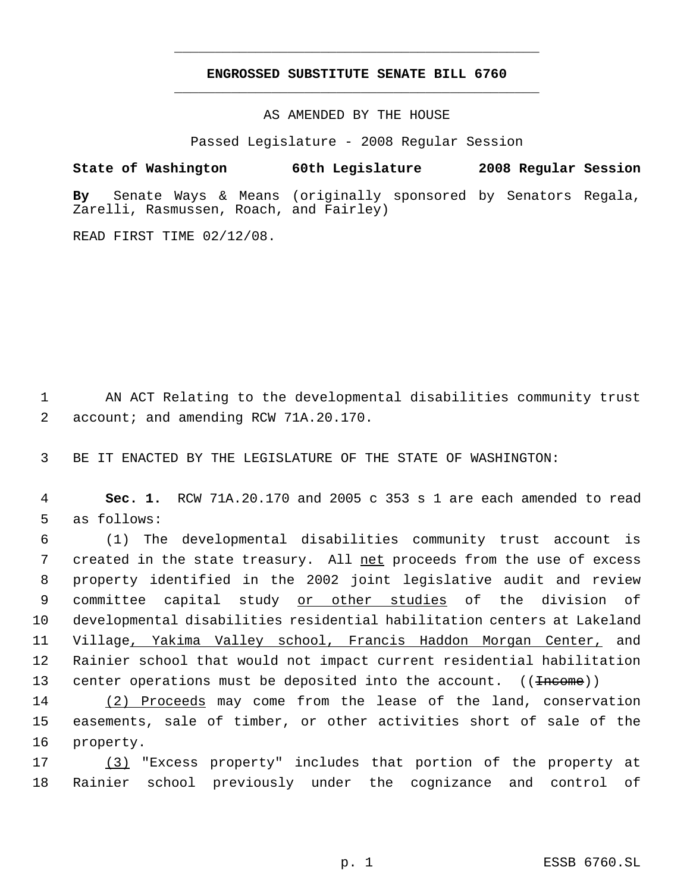## **ENGROSSED SUBSTITUTE SENATE BILL 6760** \_\_\_\_\_\_\_\_\_\_\_\_\_\_\_\_\_\_\_\_\_\_\_\_\_\_\_\_\_\_\_\_\_\_\_\_\_\_\_\_\_\_\_\_\_

\_\_\_\_\_\_\_\_\_\_\_\_\_\_\_\_\_\_\_\_\_\_\_\_\_\_\_\_\_\_\_\_\_\_\_\_\_\_\_\_\_\_\_\_\_

AS AMENDED BY THE HOUSE

Passed Legislature - 2008 Regular Session

**State of Washington 60th Legislature 2008 Regular Session By** Senate Ways & Means (originally sponsored by Senators Regala, Zarelli, Rasmussen, Roach, and Fairley)

READ FIRST TIME 02/12/08.

 1 AN ACT Relating to the developmental disabilities community trust 2 account; and amending RCW 71A.20.170.

3 BE IT ENACTED BY THE LEGISLATURE OF THE STATE OF WASHINGTON:

 4 **Sec. 1.** RCW 71A.20.170 and 2005 c 353 s 1 are each amended to read 5 as follows:

 (1) The developmental disabilities community trust account is 7 created in the state treasury. All net proceeds from the use of excess property identified in the 2002 joint legislative audit and review 9 committee capital study or other studies of the division of developmental disabilities residential habilitation centers at Lakeland Village, Yakima Valley school, Francis Haddon Morgan Center, and Rainier school that would not impact current residential habilitation 13 center operations must be deposited into the account. ((<del>Income</del>))

14 (2) Proceeds may come from the lease of the land, conservation 15 easements, sale of timber, or other activities short of sale of the 16 property.

17 (3) "Excess property" includes that portion of the property at 18 Rainier school previously under the cognizance and control of